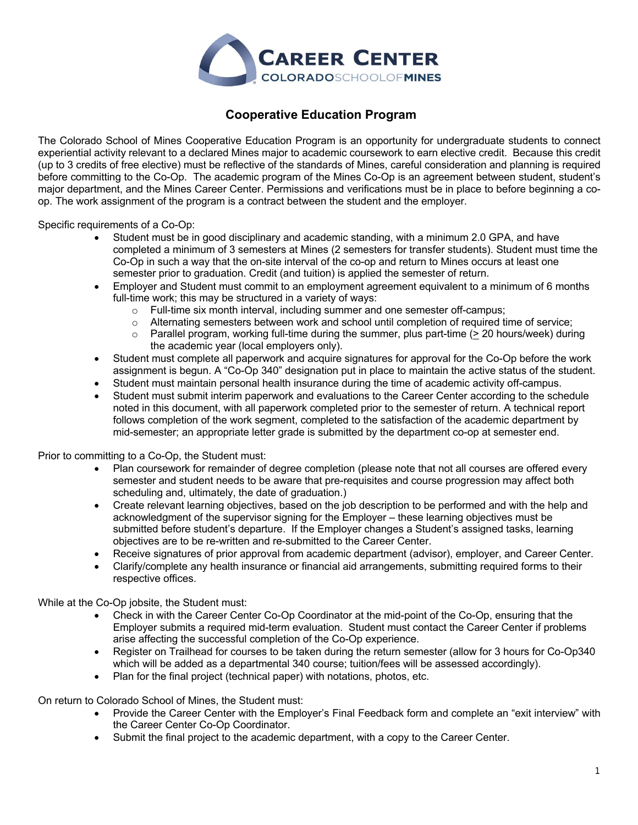

# **Cooperative Education Program**

The Colorado School of Mines Cooperative Education Program is an opportunity for undergraduate students to connect experiential activity relevant to a declared Mines major to academic coursework to earn elective credit. Because this credit (up to 3 credits of free elective) must be reflective of the standards of Mines, careful consideration and planning is required before committing to the Co-Op. The academic program of the Mines Co-Op is an agreement between student, student's major department, and the Mines Career Center. Permissions and verifications must be in place to before beginning a coop. The work assignment of the program is a contract between the student and the employer.

Specific requirements of a Co-Op:

- Student must be in good disciplinary and academic standing, with a minimum 2.0 GPA, and have completed a minimum of 3 semesters at Mines (2 semesters for transfer students). Student must time the Co-Op in such a way that the on-site interval of the co-op and return to Mines occurs at least one semester prior to graduation. Credit (and tuition) is applied the semester of return.
- Employer and Student must commit to an employment agreement equivalent to a minimum of 6 months full-time work; this may be structured in a variety of ways:
	- o Full-time six month interval, including summer and one semester off-campus;
	- o Alternating semesters between work and school until completion of required time of service;
	- $\circ$  Parallel program, working full-time during the summer, plus part-time ( $>$  20 hours/week) during the academic year (local employers only).
- Student must complete all paperwork and acquire signatures for approval for the Co-Op before the work assignment is begun. A "Co-Op 340" designation put in place to maintain the active status of the student.
- Student must maintain personal health insurance during the time of academic activity off-campus.
- Student must submit interim paperwork and evaluations to the Career Center according to the schedule noted in this document, with all paperwork completed prior to the semester of return. A technical report follows completion of the work segment, completed to the satisfaction of the academic department by mid-semester; an appropriate letter grade is submitted by the department co-op at semester end.

Prior to committing to a Co-Op, the Student must:

- Plan coursework for remainder of degree completion (please note that not all courses are offered every semester and student needs to be aware that pre-requisites and course progression may affect both scheduling and, ultimately, the date of graduation.)
- Create relevant learning objectives, based on the job description to be performed and with the help and acknowledgment of the supervisor signing for the Employer – these learning objectives must be submitted before student's departure. If the Employer changes a Student's assigned tasks, learning objectives are to be re-written and re-submitted to the Career Center.
- Receive signatures of prior approval from academic department (advisor), employer, and Career Center.
- Clarify/complete any health insurance or financial aid arrangements, submitting required forms to their respective offices.

While at the Co-Op jobsite, the Student must:

- Check in with the Career Center Co-Op Coordinator at the mid-point of the Co-Op, ensuring that the Employer submits a required mid-term evaluation. Student must contact the Career Center if problems arise affecting the successful completion of the Co-Op experience.
- Register on Trailhead for courses to be taken during the return semester (allow for 3 hours for Co-Op340 which will be added as a departmental 340 course; tuition/fees will be assessed accordingly).
- Plan for the final project (technical paper) with notations, photos, etc.

On return to Colorado School of Mines, the Student must:

- Provide the Career Center with the Employer's Final Feedback form and complete an "exit interview" with the Career Center Co-Op Coordinator.
- Submit the final project to the academic department, with a copy to the Career Center.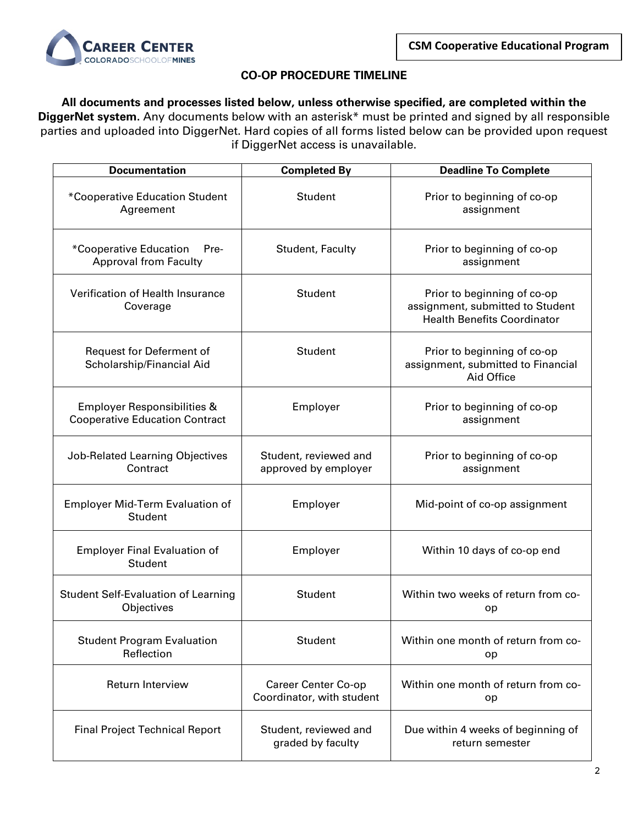

### **CO-OP PROCEDURE TIMELINE**

**All documents and processes listed below, unless otherwise specified, are completed within the DiggerNet system.** Any documents below with an asterisk\* must be printed and signed by all responsible parties and uploaded into DiggerNet. Hard copies of all forms listed below can be provided upon request if DiggerNet access is unavailable.

| <b>Documentation</b>                                                            | <b>Completed By</b>                              | <b>Deadline To Complete</b>                                                                           |  |
|---------------------------------------------------------------------------------|--------------------------------------------------|-------------------------------------------------------------------------------------------------------|--|
| *Cooperative Education Student<br>Agreement                                     | Student                                          | Prior to beginning of co-op<br>assignment                                                             |  |
| *Cooperative Education<br>Pre-<br><b>Approval from Faculty</b>                  | Student, Faculty                                 | Prior to beginning of co-op<br>assignment                                                             |  |
| Verification of Health Insurance<br>Coverage                                    | Student                                          | Prior to beginning of co-op<br>assignment, submitted to Student<br><b>Health Benefits Coordinator</b> |  |
| Request for Deferment of<br>Scholarship/Financial Aid                           | Student                                          | Prior to beginning of co-op<br>assignment, submitted to Financial<br>Aid Office                       |  |
| <b>Employer Responsibilities &amp;</b><br><b>Cooperative Education Contract</b> | Employer                                         | Prior to beginning of co-op<br>assignment                                                             |  |
| Job-Related Learning Objectives<br>Contract                                     | Student, reviewed and<br>approved by employer    | Prior to beginning of co-op<br>assignment                                                             |  |
| <b>Employer Mid-Term Evaluation of</b><br><b>Student</b>                        | Employer                                         | Mid-point of co-op assignment                                                                         |  |
| <b>Employer Final Evaluation of</b><br>Student                                  | Employer                                         | Within 10 days of co-op end                                                                           |  |
| <b>Student Self-Evaluation of Learning</b><br>Objectives                        | Student                                          | Within two weeks of return from co-<br>op                                                             |  |
| <b>Student Program Evaluation</b><br>Reflection                                 | Student                                          | Within one month of return from co-<br>op                                                             |  |
| <b>Return Interview</b>                                                         | Career Center Co-op<br>Coordinator, with student | Within one month of return from co-<br>op                                                             |  |
| <b>Final Project Technical Report</b>                                           | Student, reviewed and<br>graded by faculty       | Due within 4 weeks of beginning of<br>return semester                                                 |  |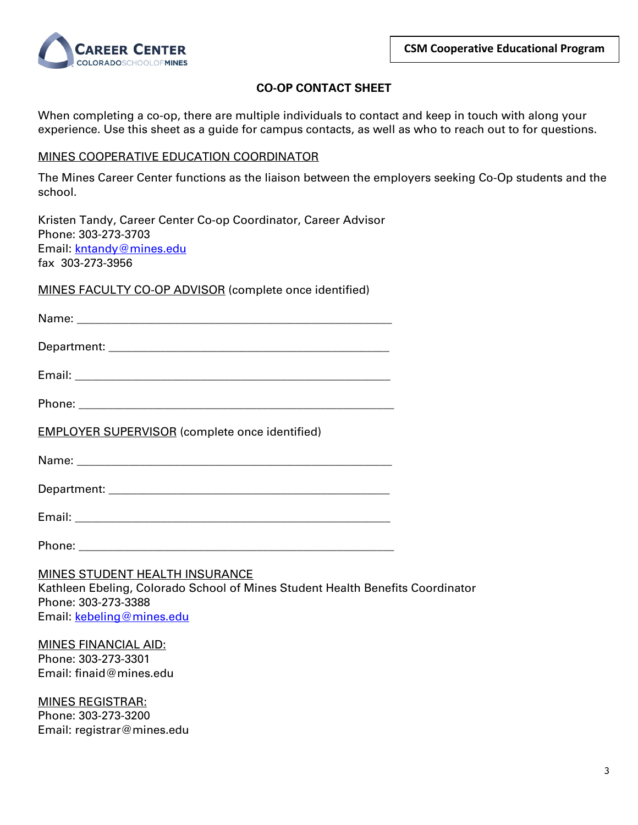

Coordinator

## **CO-OP CONTACT SHEET**

When completing a co-op, there are multiple individuals to contact and keep in touch with along your experience. Use this sheet as a guide for campus contacts, as well as who to reach out to for questions.

### MINES COOPERATIVE EDUCATION COORDINATOR

The Mines Career Center functions as the liaison between the employers seeking Co-Op students and the school.

Kristen Tandy, Career Center Co-op Coordinator, Career Advisor Phone: 303-273-3703 Email: kntandy@mines.edu fax 303-273-3956

MINES FACULTY CO-OP ADVISOR (complete once identified)

| <b>EMPLOYER SUPERVISOR</b> (complete once identified)                                                                                                    |
|----------------------------------------------------------------------------------------------------------------------------------------------------------|
|                                                                                                                                                          |
|                                                                                                                                                          |
|                                                                                                                                                          |
|                                                                                                                                                          |
| MINES STUDENT HEALTH INSURANCE<br>Kathleen Ebeling, Colorado School of Mines Student Health Benefits<br>Phone: 303-273-3388<br>Email: kebeling@mines.edu |

MINES FINANCIAL AID: Phone: 303-273-3301 Email: finaid@mines.edu

MINES REGISTRAR: Phone: 303-273-3200 Email: registrar@mines.edu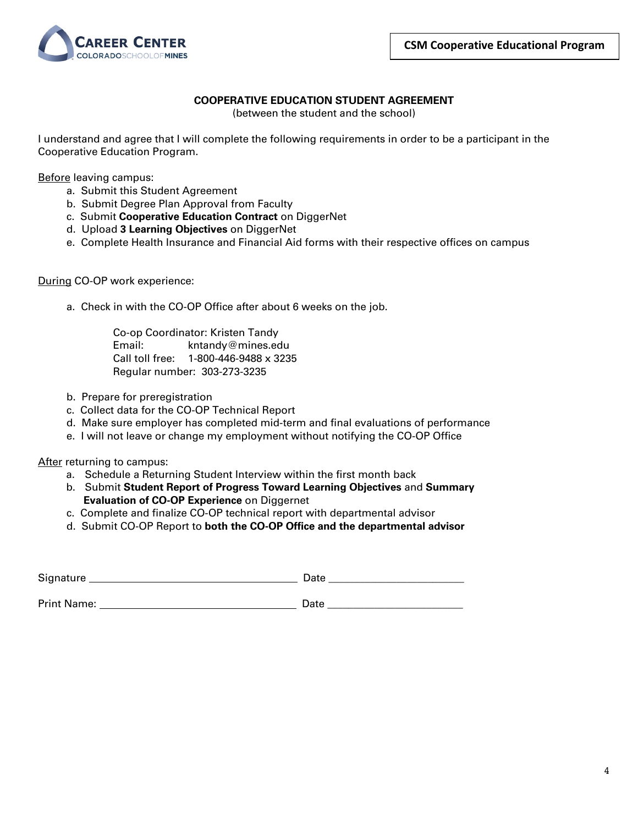

### **COOPERATIVE EDUCATION STUDENT AGREEMENT**

(between the student and the school)

I understand and agree that I will complete the following requirements in order to be a participant in the Cooperative Education Program.

Before leaving campus:

- a. Submit this Student Agreement
- b. Submit Degree Plan Approval from Faculty
- c. Submit **Cooperative Education Contract** on DiggerNet
- d. Upload **3 Learning Objectives** on DiggerNet
- e. Complete Health Insurance and Financial Aid forms with their respective offices on campus

During CO-OP work experience:

a. Check in with the CO-OP Office after about 6 weeks on the job.

Co-op Coordinator: Kristen Tandy Email: kntandy@mines.edu Call toll free: 1-800-446-9488 x 3235 Regular number: 303-273-3235

- b. Prepare for preregistration
- c. Collect data for the CO-OP Technical Report
- d. Make sure employer has completed mid-term and final evaluations of performance
- e. I will not leave or change my employment without notifying the CO-OP Office

After returning to campus:

- a. Schedule a Returning Student Interview within the first month back
- b. Submit **Student Report of Progress Toward Learning Objectives** and **Summary Evaluation of CO-OP Experience** on Diggernet
- c. Complete and finalize CO-OP technical report with departmental advisor
- d. Submit CO-OP Report to **both the CO-OP Office and the departmental advisor**

| Signature          | Date |  |  |  |
|--------------------|------|--|--|--|
|                    |      |  |  |  |
| <b>Print Name:</b> | Date |  |  |  |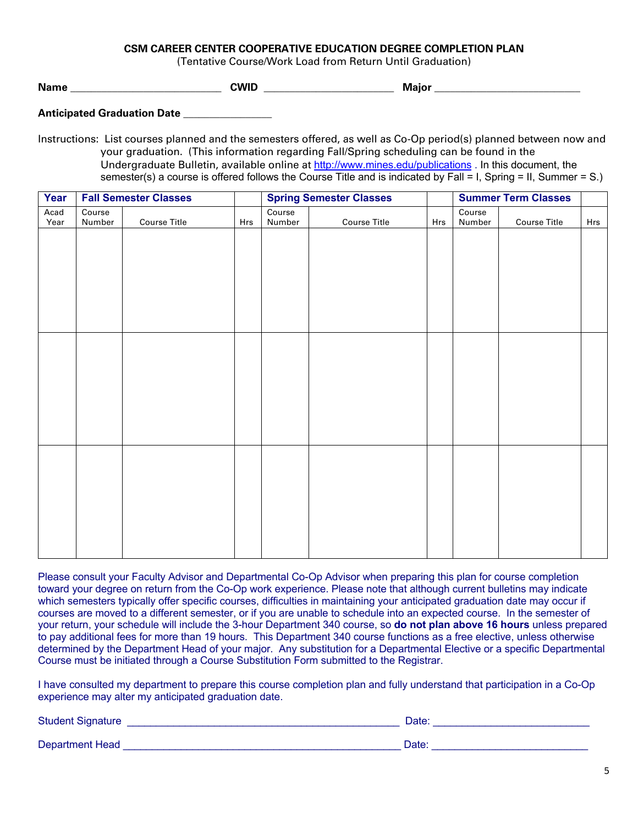#### **CSM CAREER CENTER COOPERATIVE EDUCATION DEGREE COMPLETION PLAN**

(Tentative Course/Work Load from Return Until Graduation)

**Name** \_\_\_\_\_\_\_\_\_\_\_\_\_\_\_\_\_\_\_\_\_\_\_\_\_\_\_\_\_ **CWID** \_\_\_\_\_\_\_\_\_\_\_\_\_\_\_\_\_\_\_\_\_\_\_\_\_ **Major** \_\_\_\_\_\_\_\_\_\_\_\_\_\_\_\_\_\_\_\_\_\_\_\_\_\_\_\_

**Anticipated Graduation Date** \_\_\_\_\_\_\_\_\_\_\_\_\_\_\_\_\_

Instructions: List courses planned and the semesters offered, as well as Co-Op period(s) planned between now and your graduation. (This information regarding Fall/Spring scheduling can be found in the Undergraduate Bulletin, available online at http://www.mines.edu/publications . In this document, the semester(s) a course is offered follows the Course Title and is indicated by Fall = I, Spring = II, Summer = S.)

| Year         |                  | <b>Fall Semester Classes</b> |     | <b>Spring Semester Classes</b> |                     |     | <b>Summer Term Classes</b> |                     |     |
|--------------|------------------|------------------------------|-----|--------------------------------|---------------------|-----|----------------------------|---------------------|-----|
| Acad<br>Year | Course<br>Number | <b>Course Title</b>          | Hrs | Course<br>Number               | <b>Course Title</b> | Hrs | Course<br>Number           | <b>Course Title</b> | Hrs |
|              |                  |                              |     |                                |                     |     |                            |                     |     |
|              |                  |                              |     |                                |                     |     |                            |                     |     |
|              |                  |                              |     |                                |                     |     |                            |                     |     |
|              |                  |                              |     |                                |                     |     |                            |                     |     |
|              |                  |                              |     |                                |                     |     |                            |                     |     |
|              |                  |                              |     |                                |                     |     |                            |                     |     |
|              |                  |                              |     |                                |                     |     |                            |                     |     |
|              |                  |                              |     |                                |                     |     |                            |                     |     |
|              |                  |                              |     |                                |                     |     |                            |                     |     |
|              |                  |                              |     |                                |                     |     |                            |                     |     |
|              |                  |                              |     |                                |                     |     |                            |                     |     |
|              |                  |                              |     |                                |                     |     |                            |                     |     |
|              |                  |                              |     |                                |                     |     |                            |                     |     |
|              |                  |                              |     |                                |                     |     |                            |                     |     |
|              |                  |                              |     |                                |                     |     |                            |                     |     |
|              |                  |                              |     |                                |                     |     |                            |                     |     |

Please consult your Faculty Advisor and Departmental Co-Op Advisor when preparing this plan for course completion toward your degree on return from the Co-Op work experience. Please note that although current bulletins may indicate which semesters typically offer specific courses, difficulties in maintaining your anticipated graduation date may occur if courses are moved to a different semester, or if you are unable to schedule into an expected course. In the semester of your return, your schedule will include the 3-hour Department 340 course, so **do not plan above 16 hours** unless prepared to pay additional fees for more than 19 hours. This Department 340 course functions as a free elective, unless otherwise determined by the Department Head of your major. Any substitution for a Departmental Elective or a specific Departmental Course must be initiated through a Course Substitution Form submitted to the Registrar.

I have consulted my department to prepare this course completion plan and fully understand that participation in a Co-Op experience may alter my anticipated graduation date.

Student Signature **Executive Contract of Contract Contract Contract Contract Contract Contract Contract Contract Contract Contract Contract Contract Contract Contract Contract Contract Contract Contract Contract Contract C** 

Department Head \_\_\_\_\_\_\_\_\_\_\_\_\_\_\_\_\_\_\_\_\_\_\_\_\_\_\_\_\_\_\_\_\_\_\_\_\_\_\_\_\_\_\_\_\_\_\_\_ Date: \_\_\_\_\_\_\_\_\_\_\_\_\_\_\_\_\_\_\_\_\_\_\_\_\_\_\_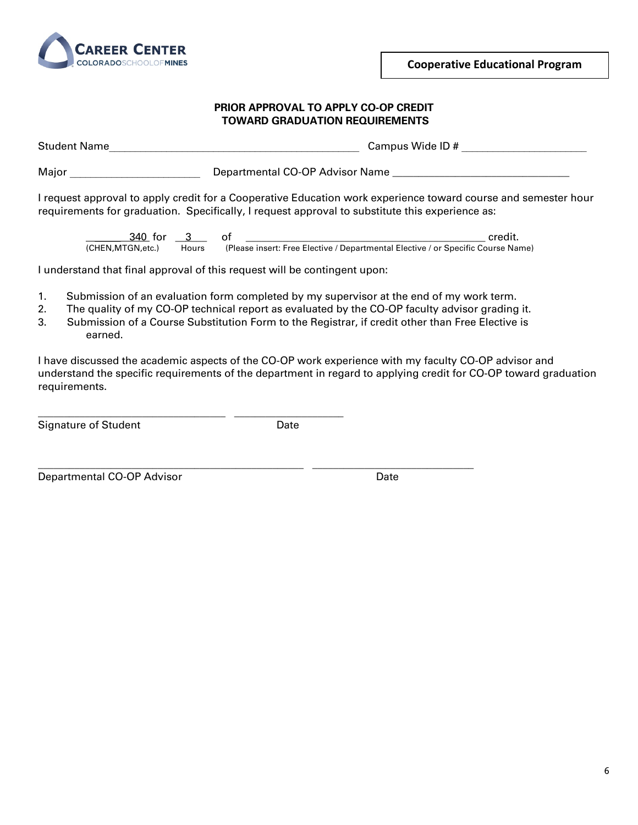

**Cooperative Educational Program**

#### **PRIOR APPROVAL TO APPLY CO-OP CREDIT TOWARD GRADUATION REQUIREMENTS**

Student Name The Campus Wide ID #  $\sim$  Campus Wide ID #  $\sim$ 

Major \_\_\_\_\_\_\_\_\_\_\_\_\_\_\_\_\_\_\_\_\_\_\_\_\_ Departmental CO-OP Advisor Name \_\_\_\_\_\_\_\_\_\_\_\_\_\_\_\_\_\_\_\_\_\_\_\_\_\_\_\_\_\_\_\_\_\_

I request approval to apply credit for a Cooperative Education work experience toward course and semester hour requirements for graduation. Specifically, I request approval to substitute this experience as:

 \_\_\_\_\_ 340 for \_\_3\_\_\_ of \_\_\_\_\_\_\_\_\_\_\_\_\_\_\_\_\_\_\_\_\_\_\_\_\_\_\_\_\_\_\_\_\_\_\_\_\_\_\_\_\_\_\_\_\_\_ credit. (CHEN,MTGN,etc.) Hours (Please insert: Free Elective / Departmental Elective / or Specific Course Name)

I understand that final approval of this request will be contingent upon:

\_\_\_\_\_\_\_\_\_\_\_\_\_\_\_\_\_\_\_\_\_\_\_\_\_\_\_\_\_\_\_\_\_\_\_\_ \_\_\_\_\_\_\_\_\_\_\_\_\_\_\_\_\_\_\_\_\_

- 1. Submission of an evaluation form completed by my supervisor at the end of my work term.
- 2. The quality of my CO-OP technical report as evaluated by the CO-OP faculty advisor grading it.
- 3. Submission of a Course Substitution Form to the Registrar, if credit other than Free Elective is earned.

I have discussed the academic aspects of the CO-OP work experience with my faculty CO-OP advisor and understand the specific requirements of the department in regard to applying credit for CO-OP toward graduation requirements.

Signature of Student **Date** 

\_\_\_\_\_\_\_\_\_\_\_\_\_\_\_\_\_\_\_\_\_\_\_\_\_\_\_\_\_\_\_\_\_\_\_\_\_\_\_\_\_\_\_\_\_\_\_\_\_\_\_ \_\_\_\_\_\_\_\_\_\_\_\_\_\_\_\_\_\_\_\_\_\_\_\_\_\_\_\_\_\_\_

Departmental CO-OP Advisor Communication Control Date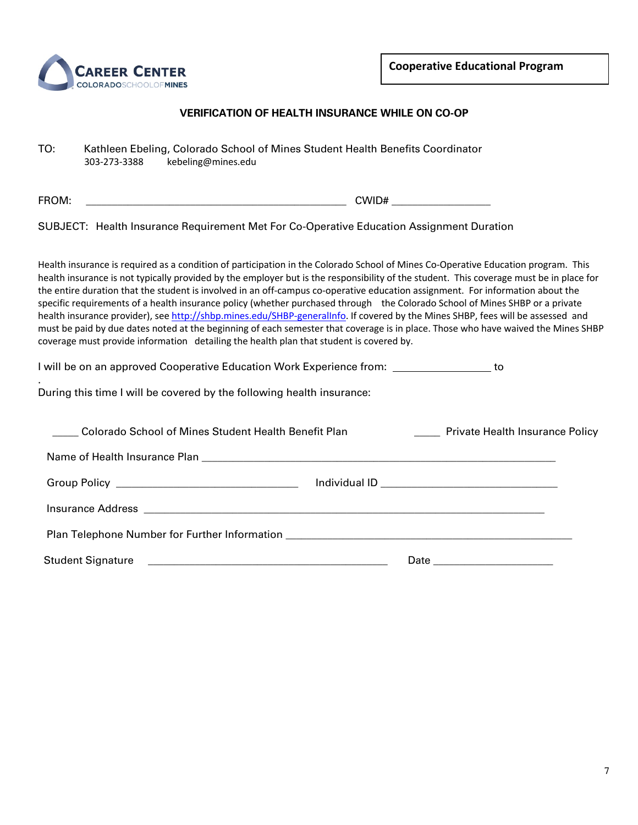

#### **VERIFICATION OF HEALTH INSURANCE WHILE ON CO-OP**

| TO: | Kathleen Ebeling, Colorado School of Mines Student Health Benefits Coordinator |                    |  |  |  |
|-----|--------------------------------------------------------------------------------|--------------------|--|--|--|
|     | 303-273-3388                                                                   | kebeling@mines.edu |  |  |  |

FROM: \_\_\_\_\_\_\_\_\_\_\_\_\_\_\_\_\_\_\_\_\_\_\_\_\_\_\_\_\_\_\_\_\_\_\_\_\_\_\_\_\_\_\_\_\_\_\_\_\_\_ CWID# \_\_\_\_\_\_\_\_\_\_\_\_\_\_\_\_\_\_\_

.

SUBJECT: Health Insurance Requirement Met For Co-Operative Education Assignment Duration

Health insurance is required as a condition of participation in the Colorado School of Mines Co-Operative Education program. This health insurance is not typically provided by the employer but is the responsibility of the student. This coverage must be in place for the entire duration that the student is involved in an off-campus co-operative education assignment. For information about the specific requirements of a health insurance policy (whether purchased through the Colorado School of Mines SHBP or a private health insurance provider), see http://shbp.mines.edu/SHBP-generalInfo. If covered by the Mines SHBP, fees will be assessed and must be paid by due dates noted at the beginning of each semester that coverage is in place. Those who have waived the Mines SHBP coverage must provide information detailing the health plan that student is covered by.

I will be on an approved Cooperative Education Work Experience from: \_\_\_\_\_\_\_\_\_\_\_\_\_\_\_\_\_\_ to

During this time I will be covered by the following health insurance:

| Colorado School of Mines Student Health Benefit Plan                             | <b>EXECUTE:</b> Private Health Insurance Policy |  |  |
|----------------------------------------------------------------------------------|-------------------------------------------------|--|--|
|                                                                                  |                                                 |  |  |
|                                                                                  |                                                 |  |  |
|                                                                                  |                                                 |  |  |
| Plan Telephone Number for Further Information __________________________________ |                                                 |  |  |
|                                                                                  |                                                 |  |  |